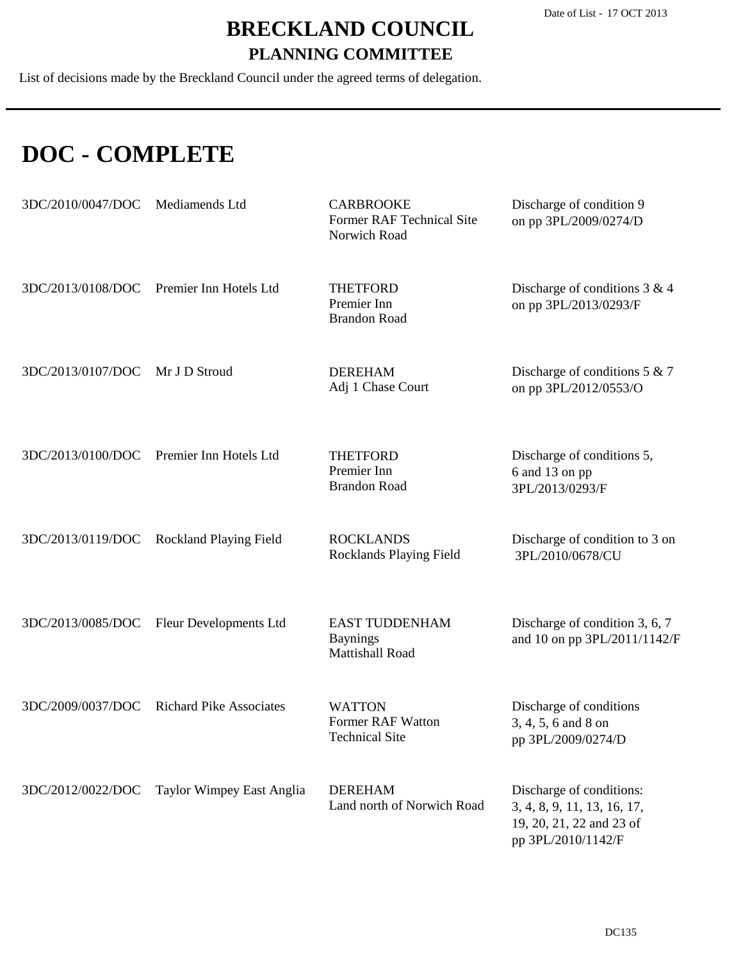List of decisions made by the Breckland Council under the agreed terms of delegation.

### **DOC - COMPLETE**

| 3DC/2010/0047/DOC Mediamends Ltd |                                          | <b>CARBROOKE</b><br>Former RAF Technical Site<br>Norwich Road | Discharge of condition 9<br>on pp 3PL/2009/0274/D                                                         |
|----------------------------------|------------------------------------------|---------------------------------------------------------------|-----------------------------------------------------------------------------------------------------------|
| 3DC/2013/0108/DOC                | Premier Inn Hotels Ltd                   | <b>THETFORD</b><br>Premier Inn<br><b>Brandon Road</b>         | Discharge of conditions $3 & 4$<br>on pp 3PL/2013/0293/F                                                  |
| 3DC/2013/0107/DOC                | Mr J D Stroud                            | <b>DEREHAM</b><br>Adj 1 Chase Court                           | Discharge of conditions $5 & 7$<br>on pp 3PL/2012/0553/O                                                  |
| 3DC/2013/0100/DOC                | Premier Inn Hotels Ltd                   | <b>THETFORD</b><br>Premier Inn<br><b>Brandon Road</b>         | Discharge of conditions 5,<br>6 and 13 on pp<br>3PL/2013/0293/F                                           |
|                                  | 3DC/2013/0119/DOC Rockland Playing Field | <b>ROCKLANDS</b><br>Rocklands Playing Field                   | Discharge of condition to 3 on<br>3PL/2010/0678/CU                                                        |
|                                  | 3DC/2013/0085/DOC Fleur Developments Ltd | <b>EAST TUDDENHAM</b><br><b>Baynings</b><br>Mattishall Road   | Discharge of condition 3, 6, 7<br>and 10 on pp 3PL/2011/1142/F                                            |
| 3DC/2009/0037/DOC                | <b>Richard Pike Associates</b>           | <b>WATTON</b><br>Former RAF Watton<br><b>Technical Site</b>   | Discharge of conditions<br>3, 4, 5, 6 and 8 on<br>pp 3PL/2009/0274/D                                      |
| 3DC/2012/0022/DOC                | Taylor Wimpey East Anglia                | <b>DEREHAM</b><br>Land north of Norwich Road                  | Discharge of conditions:<br>3, 4, 8, 9, 11, 13, 16, 17,<br>19, 20, 21, 22 and 23 of<br>pp 3PL/2010/1142/F |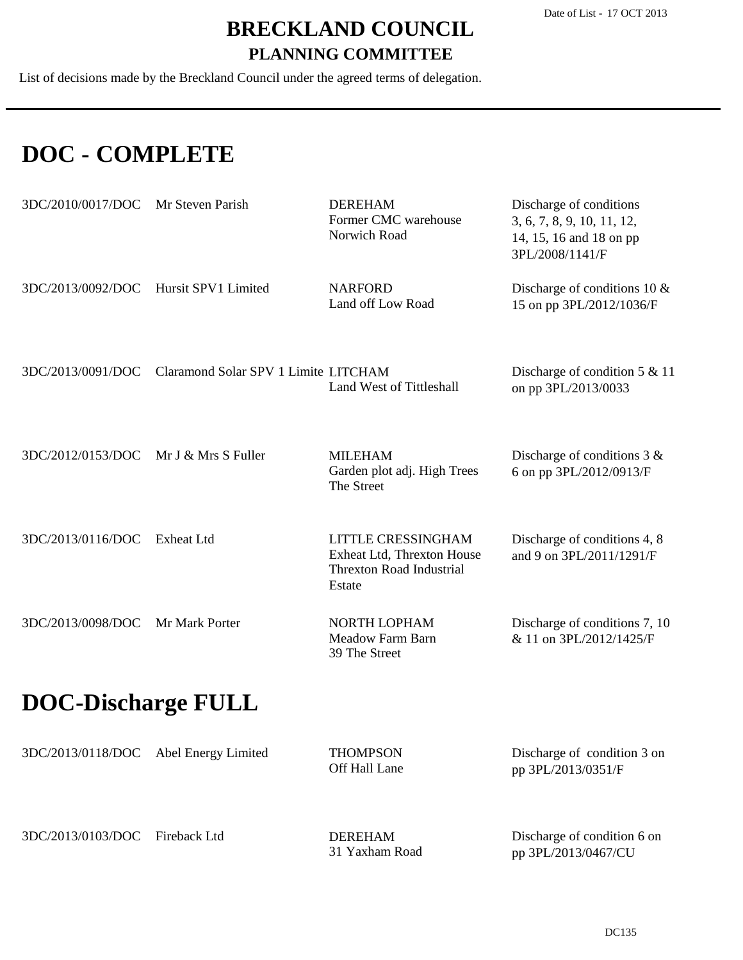List of decisions made by the Breckland Council under the agreed terms of delegation.

### **DOC - COMPLETE**

3DC/2013/0103/DOC Fireback Ltd

| 3DC/2010/0017/DOC         | Mr Steven Parish                     | <b>DEREHAM</b><br>Former CMC warehouse<br>Norwich Road                                        | Discharge of conditions<br>3, 6, 7, 8, 9, 10, 11, 12,<br>14, 15, 16 and 18 on pp<br>3PL/2008/1141/F |
|---------------------------|--------------------------------------|-----------------------------------------------------------------------------------------------|-----------------------------------------------------------------------------------------------------|
| 3DC/2013/0092/DOC         | Hursit SPV1 Limited                  | <b>NARFORD</b><br>Land off Low Road                                                           | Discharge of conditions 10 $&$<br>15 on pp 3PL/2012/1036/F                                          |
| 3DC/2013/0091/DOC         | Claramond Solar SPV 1 Limite LITCHAM | Land West of Tittleshall                                                                      | Discharge of condition $5 & 11$<br>on pp 3PL/2013/0033                                              |
| 3DC/2012/0153/DOC         | Mr J & Mrs S Fuller                  | <b>MILEHAM</b><br>Garden plot adj. High Trees<br>The Street                                   | Discharge of conditions $3 &$<br>6 on pp 3PL/2012/0913/F                                            |
| 3DC/2013/0116/DOC         | <b>Exheat Ltd</b>                    | LITTLE CRESSINGHAM<br>Exheat Ltd, Threxton House<br><b>Threxton Road Industrial</b><br>Estate | Discharge of conditions 4, 8<br>and 9 on 3PL/2011/1291/F                                            |
| 3DC/2013/0098/DOC         | Mr Mark Porter                       | NORTH LOPHAM<br>Meadow Farm Barn<br>39 The Street                                             | Discharge of conditions 7, 10<br>& 11 on 3PL/2012/1425/F                                            |
| <b>DOC-Discharge FULL</b> |                                      |                                                                                               |                                                                                                     |
| 3DC/2013/0118/DOC         | Abel Energy Limited                  | <b>THOMPSON</b><br>Off Hall Lane                                                              | Discharge of condition 3 on<br>pp 3PL/2013/0351/F                                                   |

31 Yaxham Road

DEREHAM

Discharge of condition 6 on

pp 3PL/2013/0467/CU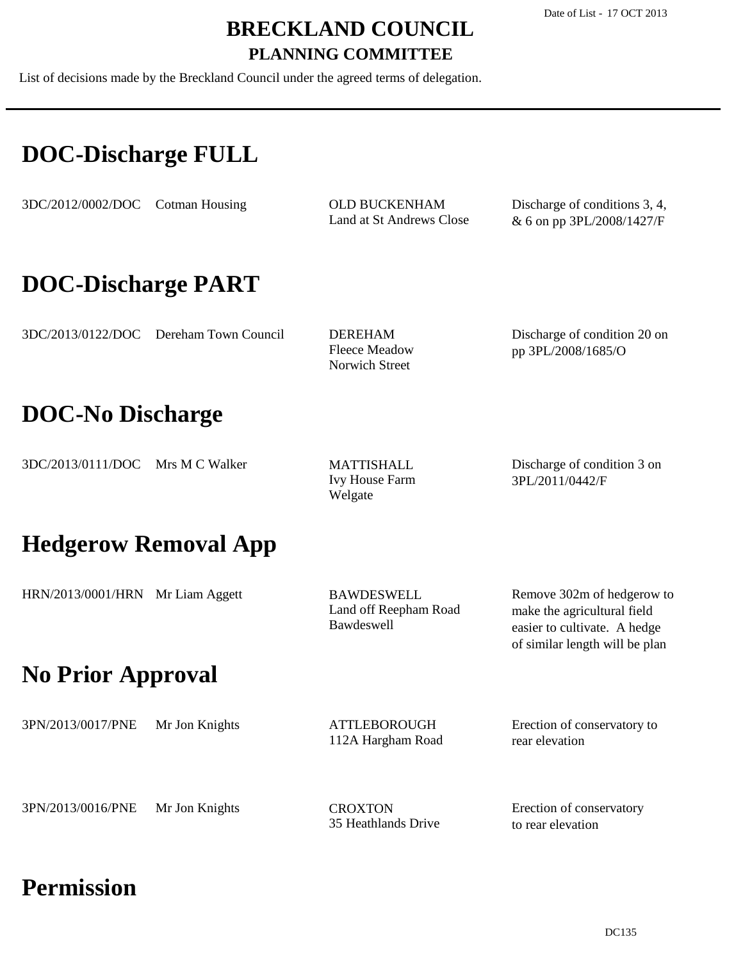List of decisions made by the Breckland Council under the agreed terms of delegation.

### **DOC-Discharge FULL**

3DC/2012/0002/DOC Cotman Housing

Land at St Andrews Close OLD BUCKENHAM

Discharge of conditions 3, 4, & 6 on pp 3PL/2008/1427/F

### **DOC-Discharge PART**

3DC/2013/0122/DOC Dereham Town Council

Fleece Meadow Norwich Street DEREHAM

Discharge of condition 20 on pp 3PL/2008/1685/O

### **DOC-No Discharge**

3DC/2013/0111/DOC Mrs M C Walker

Ivy House Farm Welgate MATTISHALL

Discharge of condition 3 on 3PL/2011/0442/F

of similar length will be plan

### **Hedgerow Removal App**

| HRN/2013/0001/HRN Mr Liam Aggett | BAWDESWELL            | Remove 302m of hedgerow to   |
|----------------------------------|-----------------------|------------------------------|
|                                  | Land off Reepham Road | make the agricultural field  |
|                                  | <b>Bawdeswell</b>     | easier to cultivate. A hedge |

### **No Prior Approval**

| 3PN/2013/0017/PNE | Mr Jon Knights | ATTLEBOROUGH<br>112A Hargham Road | Erection of conservatory to<br>rear elevation |
|-------------------|----------------|-----------------------------------|-----------------------------------------------|
| 3PN/2013/0016/PNE | Mr Jon Knights | <b>CROXTON</b>                    | Erection of conservatory                      |

35 Heathlands Drive

to rear elevation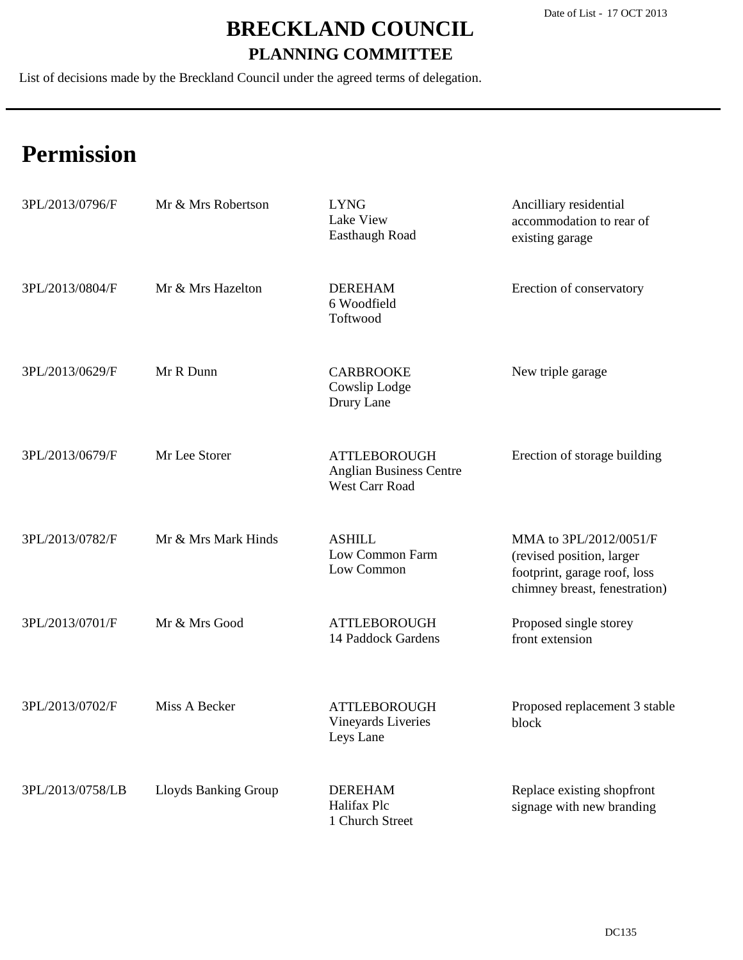List of decisions made by the Breckland Council under the agreed terms of delegation.

| 3PL/2013/0796/F  | Mr & Mrs Robertson   | <b>LYNG</b><br>Lake View<br>Easthaugh Road                                     | Ancilliary residential<br>accommodation to rear of<br>existing garage                                                |
|------------------|----------------------|--------------------------------------------------------------------------------|----------------------------------------------------------------------------------------------------------------------|
| 3PL/2013/0804/F  | Mr & Mrs Hazelton    | <b>DEREHAM</b><br>6 Woodfield<br>Toftwood                                      | Erection of conservatory                                                                                             |
| 3PL/2013/0629/F  | Mr R Dunn            | <b>CARBROOKE</b><br>Cowslip Lodge<br>Drury Lane                                | New triple garage                                                                                                    |
| 3PL/2013/0679/F  | Mr Lee Storer        | <b>ATTLEBOROUGH</b><br><b>Anglian Business Centre</b><br><b>West Carr Road</b> | Erection of storage building                                                                                         |
| 3PL/2013/0782/F  | Mr & Mrs Mark Hinds  | <b>ASHILL</b><br>Low Common Farm<br>Low Common                                 | MMA to 3PL/2012/0051/F<br>(revised position, larger<br>footprint, garage roof, loss<br>chimney breast, fenestration) |
| 3PL/2013/0701/F  | Mr & Mrs Good        | <b>ATTLEBOROUGH</b><br>14 Paddock Gardens                                      | Proposed single storey<br>front extension                                                                            |
| 3PL/2013/0702/F  | Miss A Becker        | <b>ATTLEBOROUGH</b><br>Vineyards Liveries<br>Leys Lane                         | Proposed replacement 3 stable<br>block                                                                               |
| 3PL/2013/0758/LB | Lloyds Banking Group | <b>DEREHAM</b><br>Halifax Plc<br>1 Church Street                               | Replace existing shopfront<br>signage with new branding                                                              |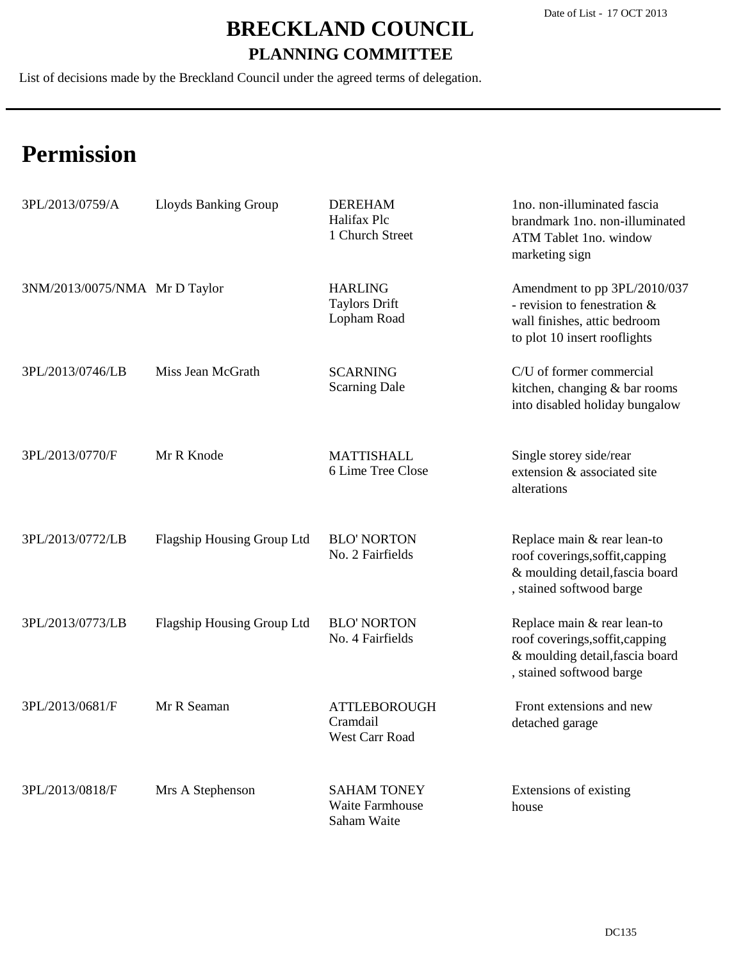List of decisions made by the Breckland Council under the agreed terms of delegation.

| 3PL/2013/0759/A               | Lloyds Banking Group       | <b>DEREHAM</b><br>Halifax Plc<br>1 Church Street      | 1no. non-illuminated fascia<br>brandmark 1no. non-illuminated<br>ATM Tablet 1no. window<br>marketing sign                     |
|-------------------------------|----------------------------|-------------------------------------------------------|-------------------------------------------------------------------------------------------------------------------------------|
| 3NM/2013/0075/NMA Mr D Taylor |                            | <b>HARLING</b><br><b>Taylors Drift</b><br>Lopham Road | Amendment to pp 3PL/2010/037<br>- revision to fenestration &<br>wall finishes, attic bedroom<br>to plot 10 insert rooflights  |
| 3PL/2013/0746/LB              | Miss Jean McGrath          | <b>SCARNING</b><br><b>Scarning Dale</b>               | C/U of former commercial<br>kitchen, changing & bar rooms<br>into disabled holiday bungalow                                   |
| 3PL/2013/0770/F               | Mr R Knode                 | <b>MATTISHALL</b><br>6 Lime Tree Close                | Single storey side/rear<br>extension & associated site<br>alterations                                                         |
| 3PL/2013/0772/LB              | Flagship Housing Group Ltd | <b>BLO' NORTON</b><br>No. 2 Fairfields                | Replace main & rear lean-to<br>roof coverings, soffit, capping<br>& moulding detail, fascia board<br>, stained softwood barge |
| 3PL/2013/0773/LB              | Flagship Housing Group Ltd | <b>BLO' NORTON</b><br>No. 4 Fairfields                | Replace main & rear lean-to<br>roof coverings, soffit, capping<br>& moulding detail, fascia board<br>, stained softwood barge |
| 3PL/2013/0681/F               | Mr R Seaman                | <b>ATTLEBOROUGH</b><br>Cramdail<br>West Carr Road     | Front extensions and new<br>detached garage                                                                                   |
| 3PL/2013/0818/F               | Mrs A Stephenson           | <b>SAHAM TONEY</b><br>Waite Farmhouse<br>Saham Waite  | Extensions of existing<br>house                                                                                               |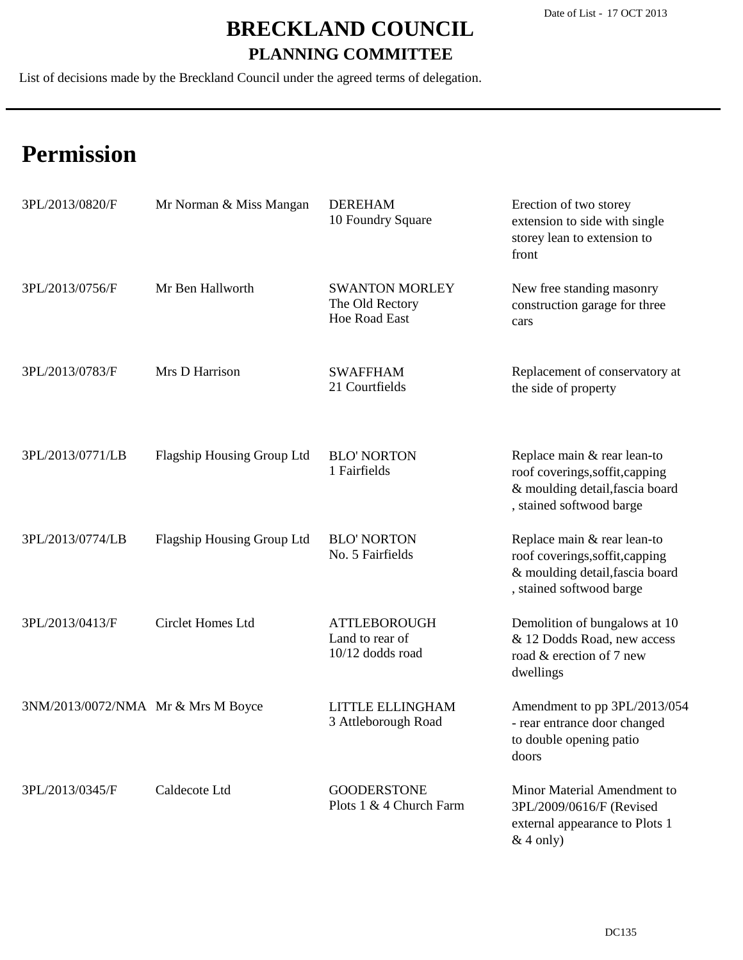List of decisions made by the Breckland Council under the agreed terms of delegation.

| 3PL/2013/0820/F                    | Mr Norman & Miss Mangan           | <b>DEREHAM</b><br>10 Foundry Square                              | Erection of two storey<br>extension to side with single<br>storey lean to extension to<br>front                               |
|------------------------------------|-----------------------------------|------------------------------------------------------------------|-------------------------------------------------------------------------------------------------------------------------------|
| 3PL/2013/0756/F                    | Mr Ben Hallworth                  | <b>SWANTON MORLEY</b><br>The Old Rectory<br><b>Hoe Road East</b> | New free standing masonry<br>construction garage for three<br>cars                                                            |
| 3PL/2013/0783/F                    | Mrs D Harrison                    | <b>SWAFFHAM</b><br>21 Courtfields                                | Replacement of conservatory at<br>the side of property                                                                        |
| 3PL/2013/0771/LB                   | Flagship Housing Group Ltd        | <b>BLO' NORTON</b><br>1 Fairfields                               | Replace main & rear lean-to<br>roof coverings, soffit, capping<br>& moulding detail, fascia board<br>, stained softwood barge |
| 3PL/2013/0774/LB                   | <b>Flagship Housing Group Ltd</b> | <b>BLO' NORTON</b><br>No. 5 Fairfields                           | Replace main & rear lean-to<br>roof coverings, soffit, capping<br>& moulding detail, fascia board<br>, stained softwood barge |
| 3PL/2013/0413/F                    | <b>Circlet Homes Ltd</b>          | <b>ATTLEBOROUGH</b><br>Land to rear of<br>10/12 dodds road       | Demolition of bungalows at 10<br>& 12 Dodds Road, new access<br>road & erection of 7 new<br>dwellings                         |
| 3NM/2013/0072/NMA Mr & Mrs M Boyce |                                   | LITTLE ELLINGHAM<br>3 Attleborough Road                          | Amendment to pp 3PL/2013/054<br>- rear entrance door changed<br>to double opening patio<br>doors                              |
| 3PL/2013/0345/F                    | Caldecote Ltd                     | <b>GOODERSTONE</b><br>Plots 1 & 4 Church Farm                    | Minor Material Amendment to<br>3PL/2009/0616/F (Revised<br>external appearance to Plots 1<br>$&$ 4 only)                      |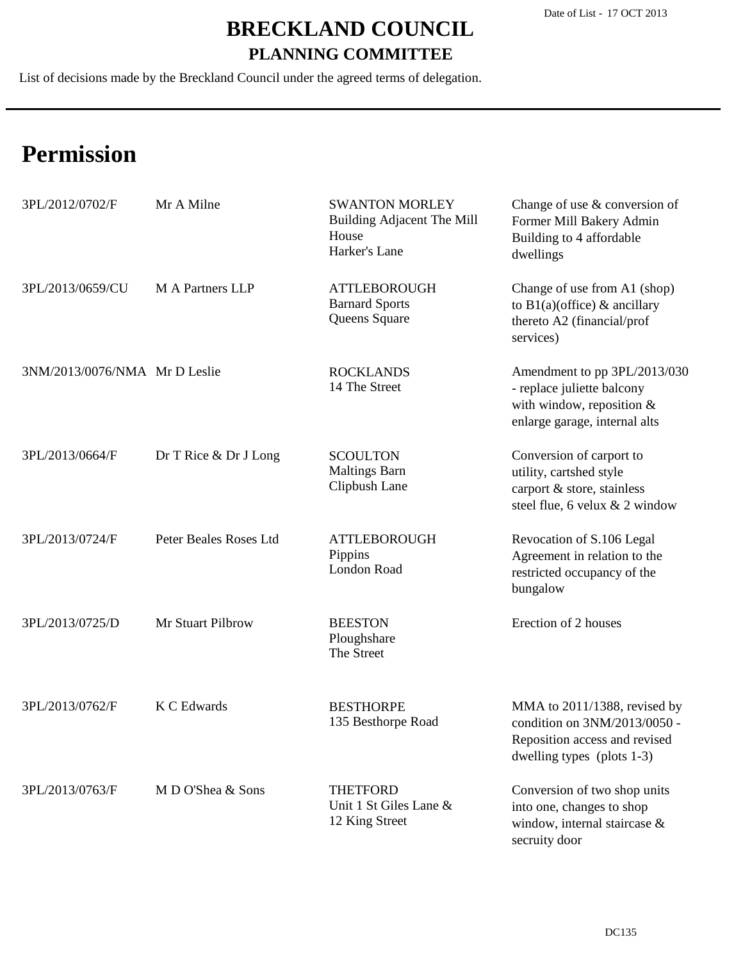List of decisions made by the Breckland Council under the agreed terms of delegation.

| 3PL/2012/0702/F               | Mr A Milne             | <b>SWANTON MORLEY</b><br><b>Building Adjacent The Mill</b><br>House<br>Harker's Lane | Change of use $&$ conversion of<br>Former Mill Bakery Admin<br>Building to 4 affordable<br>dwellings                           |
|-------------------------------|------------------------|--------------------------------------------------------------------------------------|--------------------------------------------------------------------------------------------------------------------------------|
| 3PL/2013/0659/CU              | M A Partners LLP       | <b>ATTLEBOROUGH</b><br><b>Barnard Sports</b><br>Queens Square                        | Change of use from A1 (shop)<br>to $B1(a)$ (office) & ancillary<br>thereto A2 (financial/prof<br>services)                     |
| 3NM/2013/0076/NMA Mr D Leslie |                        | <b>ROCKLANDS</b><br>14 The Street                                                    | Amendment to pp 3PL/2013/030<br>- replace juliette balcony<br>with window, reposition $&$<br>enlarge garage, internal alts     |
| 3PL/2013/0664/F               | Dr T Rice & Dr J Long  | <b>SCOULTON</b><br><b>Maltings Barn</b><br>Clipbush Lane                             | Conversion of carport to<br>utility, cartshed style<br>carport & store, stainless<br>steel flue, 6 velux $& 2$ window          |
| 3PL/2013/0724/F               | Peter Beales Roses Ltd | <b>ATTLEBOROUGH</b><br>Pippins<br>London Road                                        | Revocation of S.106 Legal<br>Agreement in relation to the<br>restricted occupancy of the<br>bungalow                           |
| 3PL/2013/0725/D               | Mr Stuart Pilbrow      | <b>BEESTON</b><br>Ploughshare<br>The Street                                          | Erection of 2 houses                                                                                                           |
| 3PL/2013/0762/F               | K C Edwards            | <b>BESTHORPE</b><br>135 Besthorpe Road                                               | MMA to 2011/1388, revised by<br>condition on 3NM/2013/0050 -<br>Reposition access and revised<br>dwelling types (plots $1-3$ ) |
| 3PL/2013/0763/F               | M D O'Shea & Sons      | <b>THETFORD</b><br>Unit 1 St Giles Lane &<br>12 King Street                          | Conversion of two shop units<br>into one, changes to shop<br>window, internal staircase &<br>secruity door                     |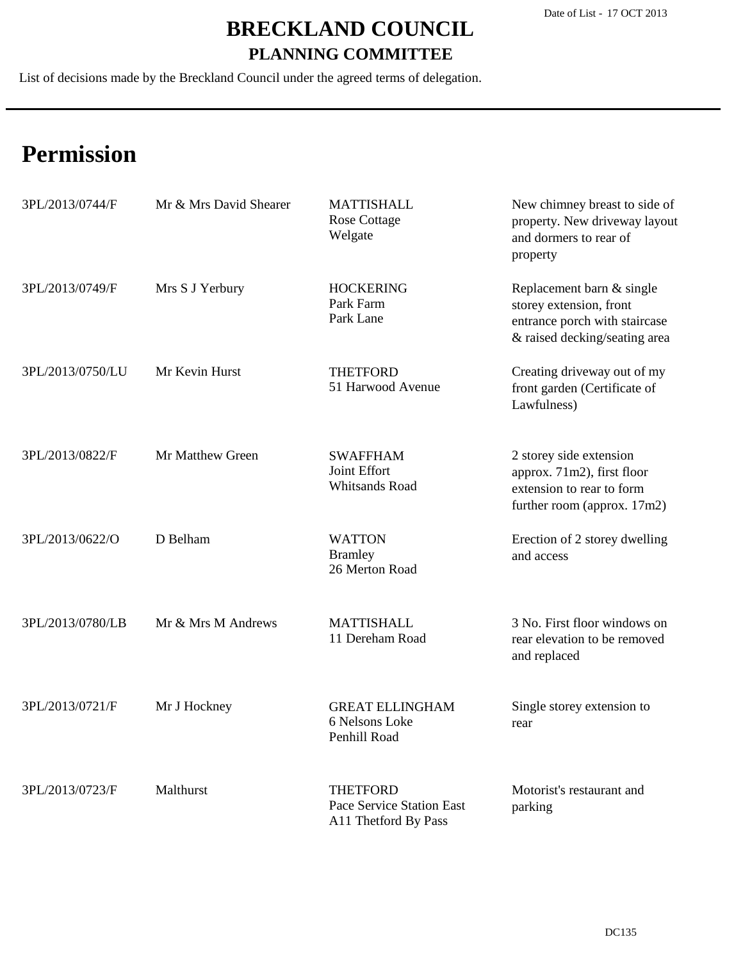List of decisions made by the Breckland Council under the agreed terms of delegation.

| 3PL/2013/0744/F  | Mr & Mrs David Shearer | <b>MATTISHALL</b><br><b>Rose Cottage</b><br>Welgate                  | New chimney breast to side of<br>property. New driveway layout<br>and dormers to rear of<br>property                   |
|------------------|------------------------|----------------------------------------------------------------------|------------------------------------------------------------------------------------------------------------------------|
| 3PL/2013/0749/F  | Mrs S J Yerbury        | <b>HOCKERING</b><br>Park Farm<br>Park Lane                           | Replacement barn & single<br>storey extension, front<br>entrance porch with staircase<br>& raised decking/seating area |
| 3PL/2013/0750/LU | Mr Kevin Hurst         | <b>THETFORD</b><br>51 Harwood Avenue                                 | Creating driveway out of my<br>front garden (Certificate of<br>Lawfulness)                                             |
| 3PL/2013/0822/F  | Mr Matthew Green       | <b>SWAFFHAM</b><br>Joint Effort<br>Whitsands Road                    | 2 storey side extension<br>approx. 71m2), first floor<br>extension to rear to form<br>further room (approx. 17m2)      |
| 3PL/2013/0622/O  | D Belham               | <b>WATTON</b><br><b>Bramley</b><br>26 Merton Road                    | Erection of 2 storey dwelling<br>and access                                                                            |
| 3PL/2013/0780/LB | Mr & Mrs M Andrews     | <b>MATTISHALL</b><br>11 Dereham Road                                 | 3 No. First floor windows on<br>rear elevation to be removed<br>and replaced                                           |
| 3PL/2013/0721/F  | Mr J Hockney           | <b>GREAT ELLINGHAM</b><br>6 Nelsons Loke<br>Penhill Road             | Single storey extension to<br>rear                                                                                     |
| 3PL/2013/0723/F  | Malthurst              | <b>THETFORD</b><br>Pace Service Station East<br>A11 Thetford By Pass | Motorist's restaurant and<br>parking                                                                                   |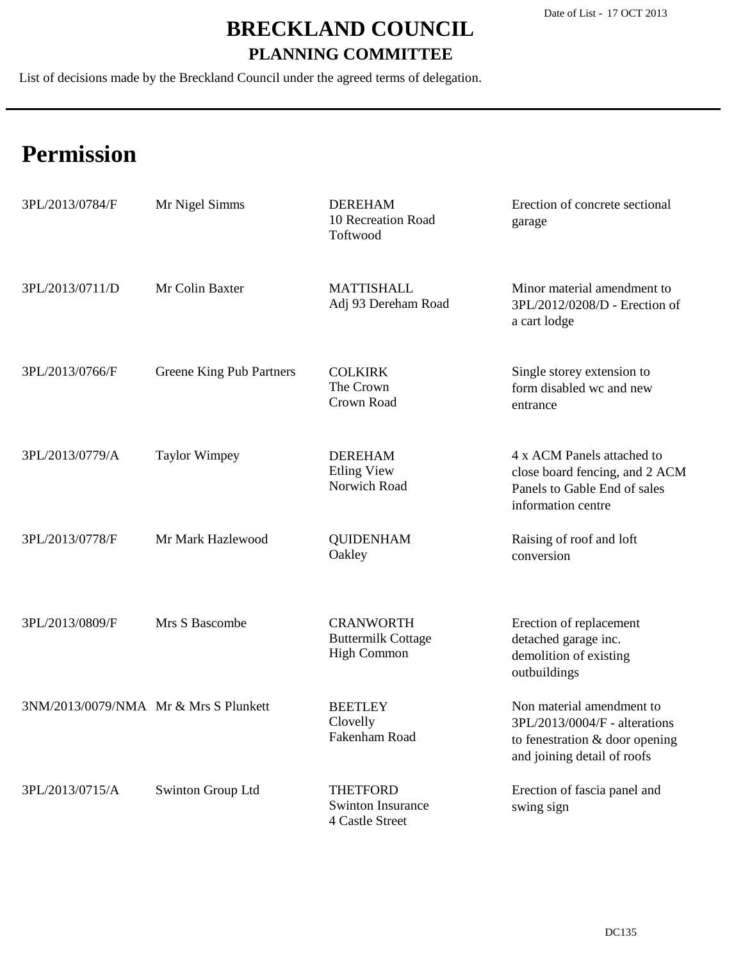List of decisions made by the Breckland Council under the agreed terms of delegation.

| 3PL/2013/0784/F                       | Mr Nigel Simms           | <b>DEREHAM</b><br>10 Recreation Road<br>Toftwood                    | Erection of concrete sectional<br>garage                                                                                    |
|---------------------------------------|--------------------------|---------------------------------------------------------------------|-----------------------------------------------------------------------------------------------------------------------------|
| 3PL/2013/0711/D                       | Mr Colin Baxter          | <b>MATTISHALL</b><br>Adj 93 Dereham Road                            | Minor material amendment to<br>3PL/2012/0208/D - Erection of<br>a cart lodge                                                |
| 3PL/2013/0766/F                       | Greene King Pub Partners | <b>COLKIRK</b><br>The Crown<br>Crown Road                           | Single storey extension to<br>form disabled wc and new<br>entrance                                                          |
| 3PL/2013/0779/A                       | <b>Taylor Wimpey</b>     | <b>DEREHAM</b><br><b>Etling View</b><br>Norwich Road                | 4 x ACM Panels attached to<br>close board fencing, and 2 ACM<br>Panels to Gable End of sales<br>information centre          |
| 3PL/2013/0778/F                       | Mr Mark Hazlewood        | <b>QUIDENHAM</b><br>Oakley                                          | Raising of roof and loft<br>conversion                                                                                      |
| 3PL/2013/0809/F                       | Mrs S Bascombe           | <b>CRANWORTH</b><br><b>Buttermilk Cottage</b><br><b>High Common</b> | Erection of replacement<br>detached garage inc.<br>demolition of existing<br>outbuildings                                   |
| 3NM/2013/0079/NMA Mr & Mrs S Plunkett |                          | <b>BEETLEY</b><br>Clovelly<br>Fakenham Road                         | Non material amendment to<br>3PL/2013/0004/F - alterations<br>to fenestration & door opening<br>and joining detail of roofs |
| 3PL/2013/0715/A                       | Swinton Group Ltd        | <b>THETFORD</b><br><b>Swinton Insurance</b><br>4 Castle Street      | Erection of fascia panel and<br>swing sign                                                                                  |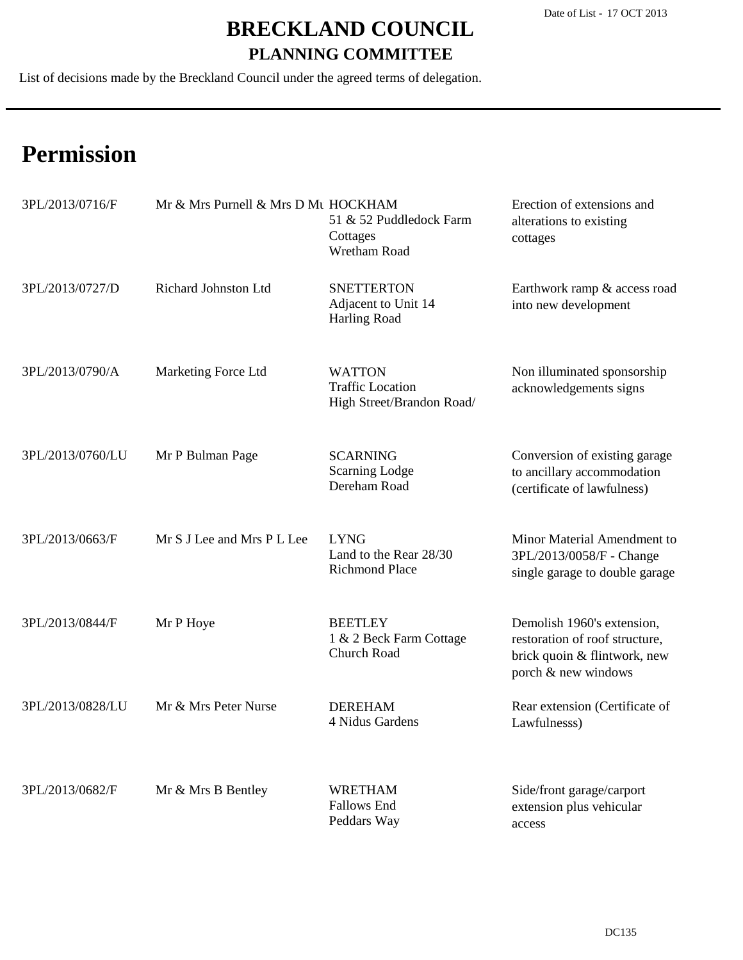List of decisions made by the Breckland Council under the agreed terms of delegation.

| 3PL/2013/0716/F  | Mr & Mrs Purnell & Mrs D Mt HOCKHAM | 51 & 52 Puddledock Farm<br>Cottages<br><b>Wretham Road</b>            | Erection of extensions and<br>alterations to existing<br>cottages                                                   |
|------------------|-------------------------------------|-----------------------------------------------------------------------|---------------------------------------------------------------------------------------------------------------------|
| 3PL/2013/0727/D  | Richard Johnston Ltd                | <b>SNETTERTON</b><br>Adjacent to Unit 14<br><b>Harling Road</b>       | Earthwork ramp & access road<br>into new development                                                                |
| 3PL/2013/0790/A  | Marketing Force Ltd                 | <b>WATTON</b><br><b>Traffic Location</b><br>High Street/Brandon Road/ | Non illuminated sponsorship<br>acknowledgements signs                                                               |
| 3PL/2013/0760/LU | Mr P Bulman Page                    | <b>SCARNING</b><br><b>Scarning Lodge</b><br>Dereham Road              | Conversion of existing garage<br>to ancillary accommodation<br>(certificate of lawfulness)                          |
| 3PL/2013/0663/F  | Mr S J Lee and Mrs P L Lee          | <b>LYNG</b><br>Land to the Rear 28/30<br><b>Richmond Place</b>        | Minor Material Amendment to<br>3PL/2013/0058/F - Change<br>single garage to double garage                           |
| 3PL/2013/0844/F  | Mr P Hoye                           | <b>BEETLEY</b><br>1 & 2 Beck Farm Cottage<br><b>Church Road</b>       | Demolish 1960's extension,<br>restoration of roof structure,<br>brick quoin & flintwork, new<br>porch & new windows |
| 3PL/2013/0828/LU | Mr & Mrs Peter Nurse                | <b>DEREHAM</b><br>4 Nidus Gardens                                     | Rear extension (Certificate of<br>Lawfulnesss)                                                                      |
| 3PL/2013/0682/F  | Mr & Mrs B Bentley                  | <b>WRETHAM</b><br><b>Fallows End</b><br>Peddars Way                   | Side/front garage/carport<br>extension plus vehicular<br>access                                                     |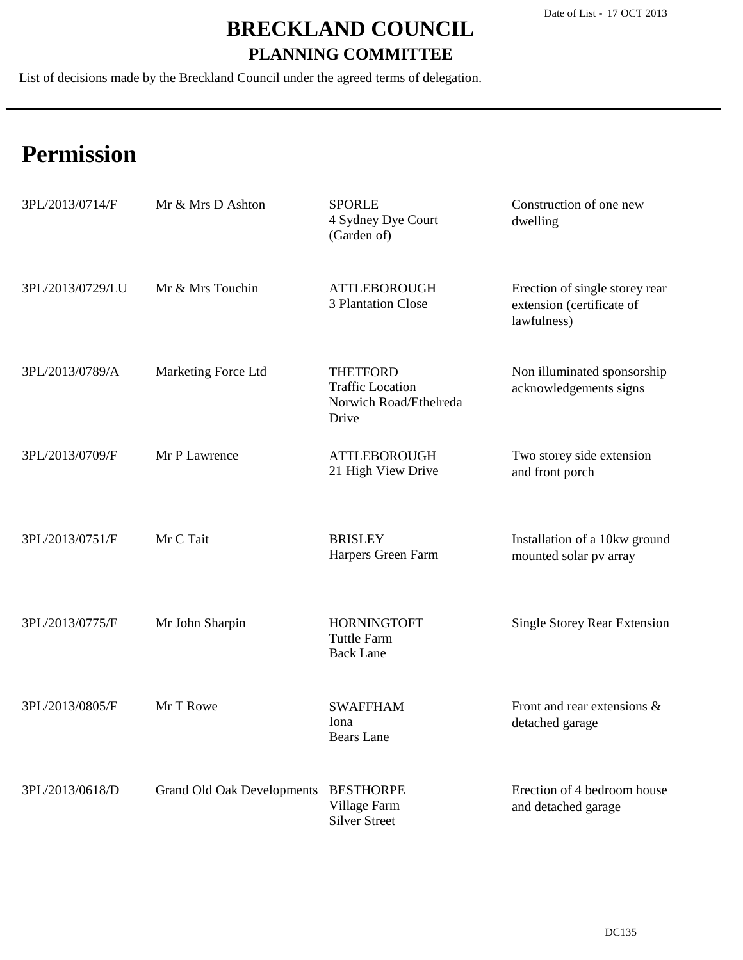List of decisions made by the Breckland Council under the agreed terms of delegation.

| 3PL/2013/0714/F  | Mr & Mrs D Ashton                    | <b>SPORLE</b><br>4 Sydney Dye Court<br>(Garden of)                            | Construction of one new<br>dwelling                                        |
|------------------|--------------------------------------|-------------------------------------------------------------------------------|----------------------------------------------------------------------------|
| 3PL/2013/0729/LU | Mr & Mrs Touchin                     | <b>ATTLEBOROUGH</b><br>3 Plantation Close                                     | Erection of single storey rear<br>extension (certificate of<br>lawfulness) |
| 3PL/2013/0789/A  | Marketing Force Ltd                  | <b>THETFORD</b><br><b>Traffic Location</b><br>Norwich Road/Ethelreda<br>Drive | Non illuminated sponsorship<br>acknowledgements signs                      |
| 3PL/2013/0709/F  | Mr P Lawrence                        | <b>ATTLEBOROUGH</b><br>21 High View Drive                                     | Two storey side extension<br>and front porch                               |
| 3PL/2013/0751/F  | Mr C Tait                            | <b>BRISLEY</b><br>Harpers Green Farm                                          | Installation of a 10kw ground<br>mounted solar pv array                    |
| 3PL/2013/0775/F  | Mr John Sharpin                      | <b>HORNINGTOFT</b><br><b>Tuttle Farm</b><br><b>Back Lane</b>                  | <b>Single Storey Rear Extension</b>                                        |
| 3PL/2013/0805/F  | Mr T Rowe                            | <b>SWAFFHAM</b><br>Iona<br><b>Bears</b> Lane                                  | Front and rear extensions &<br>detached garage                             |
| 3PL/2013/0618/D  | Grand Old Oak Developments BESTHORPE | Village Farm<br><b>Silver Street</b>                                          | Erection of 4 bedroom house<br>and detached garage                         |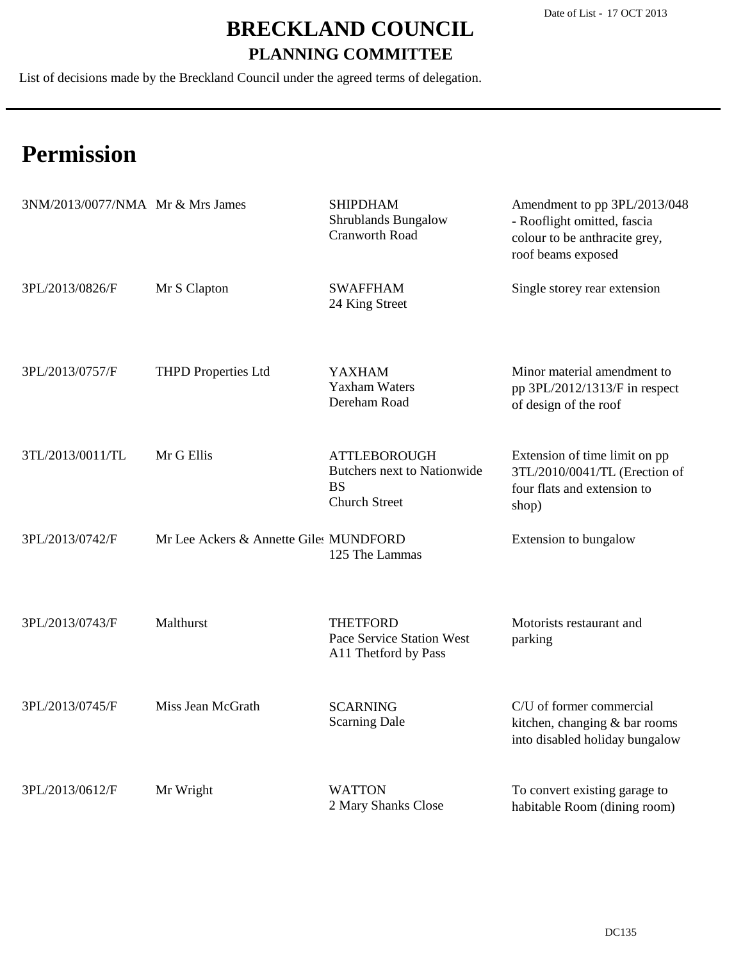List of decisions made by the Breckland Council under the agreed terms of delegation.

| 3NM/2013/0077/NMA Mr & Mrs James |                                        | <b>SHIPDHAM</b><br><b>Shrublands Bungalow</b><br><b>Cranworth Road</b>                         | Amendment to pp 3PL/2013/048<br>- Rooflight omitted, fascia<br>colour to be anthracite grey,<br>roof beams exposed |
|----------------------------------|----------------------------------------|------------------------------------------------------------------------------------------------|--------------------------------------------------------------------------------------------------------------------|
| 3PL/2013/0826/F                  | Mr S Clapton                           | <b>SWAFFHAM</b><br>24 King Street                                                              | Single storey rear extension                                                                                       |
| 3PL/2013/0757/F                  | <b>THPD Properties Ltd</b>             | <b>YAXHAM</b><br><b>Yaxham Waters</b><br>Dereham Road                                          | Minor material amendment to<br>pp 3PL/2012/1313/F in respect<br>of design of the roof                              |
| 3TL/2013/0011/TL                 | Mr G Ellis                             | <b>ATTLEBOROUGH</b><br><b>Butchers next to Nationwide</b><br><b>BS</b><br><b>Church Street</b> | Extension of time limit on pp<br>3TL/2010/0041/TL (Erection of<br>four flats and extension to<br>shop)             |
| 3PL/2013/0742/F                  | Mr Lee Ackers & Annette Giles MUNDFORD | 125 The Lammas                                                                                 | Extension to bungalow                                                                                              |
| 3PL/2013/0743/F                  | Malthurst                              | <b>THETFORD</b><br>Pace Service Station West<br>A11 Thetford by Pass                           | Motorists restaurant and<br>parking                                                                                |
| 3PL/2013/0745/F                  | Miss Jean McGrath                      | <b>SCARNING</b><br><b>Scarning Dale</b>                                                        | C/U of former commercial<br>kitchen, changing & bar rooms<br>into disabled holiday bungalow                        |
| 3PL/2013/0612/F                  | Mr Wright                              | <b>WATTON</b><br>2 Mary Shanks Close                                                           | To convert existing garage to<br>habitable Room (dining room)                                                      |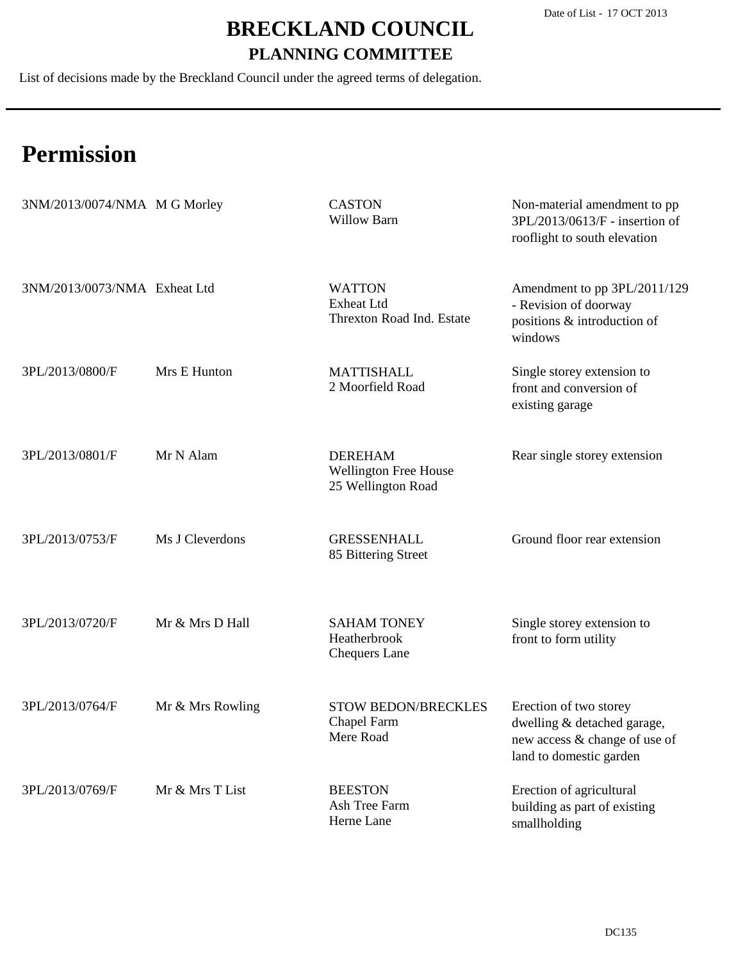List of decisions made by the Breckland Council under the agreed terms of delegation.

| 3NM/2013/0074/NMA M G Morley |                  | <b>CASTON</b><br>Willow Barn                                         | Non-material amendment to pp<br>3PL/2013/0613/F - insertion of<br>rooflight to south elevation                    |
|------------------------------|------------------|----------------------------------------------------------------------|-------------------------------------------------------------------------------------------------------------------|
| 3NM/2013/0073/NMA Exheat Ltd |                  | <b>WATTON</b><br><b>Exheat Ltd</b><br>Threxton Road Ind. Estate      | Amendment to pp 3PL/2011/129<br>- Revision of doorway<br>positions & introduction of<br>windows                   |
| 3PL/2013/0800/F              | Mrs E Hunton     | <b>MATTISHALL</b><br>2 Moorfield Road                                | Single storey extension to<br>front and conversion of<br>existing garage                                          |
| 3PL/2013/0801/F              | Mr N Alam        | <b>DEREHAM</b><br><b>Wellington Free House</b><br>25 Wellington Road | Rear single storey extension                                                                                      |
| 3PL/2013/0753/F              | Ms J Cleverdons  | <b>GRESSENHALL</b><br>85 Bittering Street                            | Ground floor rear extension                                                                                       |
| 3PL/2013/0720/F              | Mr & Mrs D Hall  | <b>SAHAM TONEY</b><br>Heatherbrook<br><b>Chequers Lane</b>           | Single storey extension to<br>front to form utility                                                               |
| 3PL/2013/0764/F              | Mr & Mrs Rowling | <b>STOW BEDON/BRECKLES</b><br>Chapel Farm<br>Mere Road               | Erection of two storey<br>dwelling & detached garage,<br>new access & change of use of<br>land to domestic garden |
| 3PL/2013/0769/F              | Mr & Mrs T List  | <b>BEESTON</b><br>Ash Tree Farm<br>Herne Lane                        | Erection of agricultural<br>building as part of existing<br>smallholding                                          |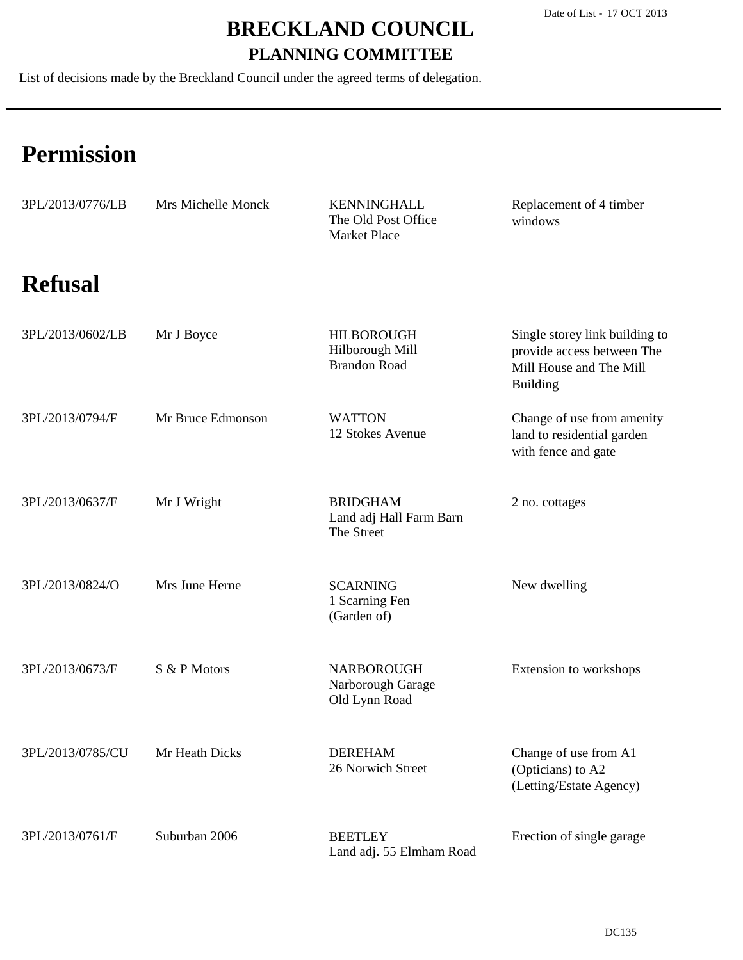List of decisions made by the Breckland Council under the agreed terms of delegation.

| 3PL/2013/0776/LB | Mrs Michelle Monck | <b>KENNINGHALL</b><br>The Old Post Office<br><b>Market Place</b> | Replacement of 4 timber<br>windows                                                                         |
|------------------|--------------------|------------------------------------------------------------------|------------------------------------------------------------------------------------------------------------|
| <b>Refusal</b>   |                    |                                                                  |                                                                                                            |
| 3PL/2013/0602/LB | Mr J Boyce         | <b>HILBOROUGH</b><br>Hilborough Mill<br><b>Brandon Road</b>      | Single storey link building to<br>provide access between The<br>Mill House and The Mill<br><b>Building</b> |
| 3PL/2013/0794/F  | Mr Bruce Edmonson  | <b>WATTON</b><br>12 Stokes Avenue                                | Change of use from amenity<br>land to residential garden<br>with fence and gate                            |
| 3PL/2013/0637/F  | Mr J Wright        | <b>BRIDGHAM</b><br>Land adj Hall Farm Barn<br>The Street         | 2 no. cottages                                                                                             |
| 3PL/2013/0824/O  | Mrs June Herne     | <b>SCARNING</b><br>1 Scarning Fen<br>(Garden of)                 | New dwelling                                                                                               |
| 3PL/2013/0673/F  | S & P Motors       | <b>NARBOROUGH</b><br>Narborough Garage<br>Old Lynn Road          | Extension to workshops                                                                                     |
| 3PL/2013/0785/CU | Mr Heath Dicks     | <b>DEREHAM</b><br>26 Norwich Street                              | Change of use from A1<br>(Opticians) to A2<br>(Letting/Estate Agency)                                      |
| 3PL/2013/0761/F  | Suburban 2006      | <b>BEETLEY</b><br>Land adj. 55 Elmham Road                       | Erection of single garage                                                                                  |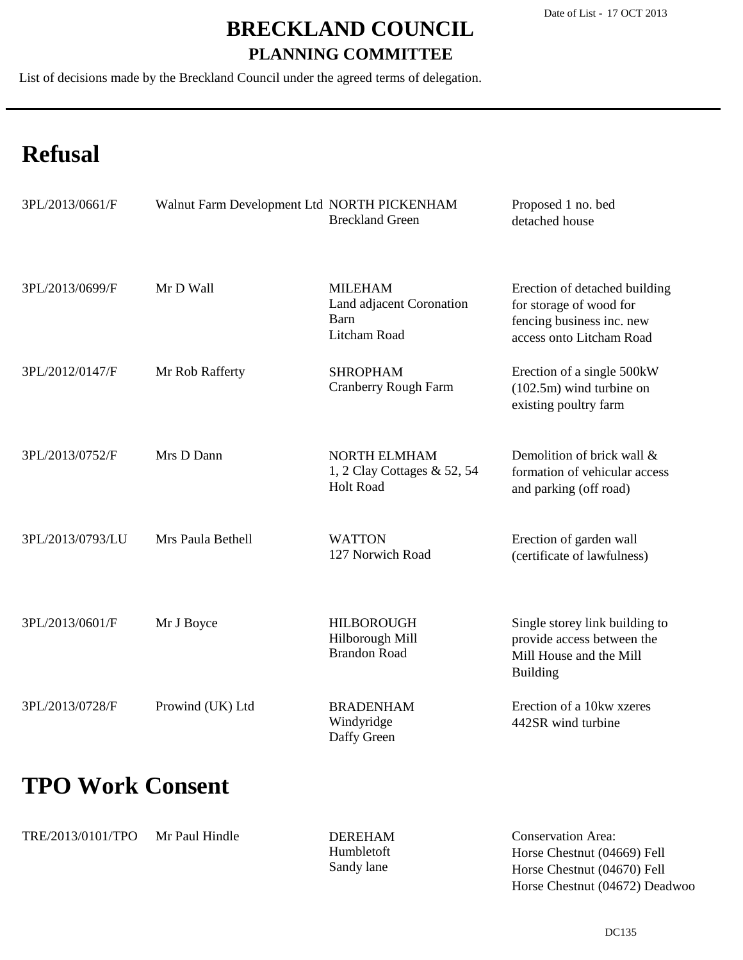List of decisions made by the Breckland Council under the agreed terms of delegation.

# **Refusal**

| 3PL/2013/0661/F  | Walnut Farm Development Ltd NORTH PICKENHAM | <b>Breckland Green</b>                                             | Proposed 1 no. bed<br>detached house                                                                              |
|------------------|---------------------------------------------|--------------------------------------------------------------------|-------------------------------------------------------------------------------------------------------------------|
| 3PL/2013/0699/F  | Mr D Wall                                   | <b>MILEHAM</b><br>Land adjacent Coronation<br>Barn<br>Litcham Road | Erection of detached building<br>for storage of wood for<br>fencing business inc. new<br>access onto Litcham Road |
| 3PL/2012/0147/F  | Mr Rob Rafferty                             | <b>SHROPHAM</b><br><b>Cranberry Rough Farm</b>                     | Erection of a single 500kW<br>$(102.5m)$ wind turbine on<br>existing poultry farm                                 |
| 3PL/2013/0752/F  | Mrs D Dann                                  | NORTH ELMHAM<br>1, 2 Clay Cottages & 52, 54<br><b>Holt Road</b>    | Demolition of brick wall &<br>formation of vehicular access<br>and parking (off road)                             |
| 3PL/2013/0793/LU | Mrs Paula Bethell                           | <b>WATTON</b><br>127 Norwich Road                                  | Erection of garden wall<br>(certificate of lawfulness)                                                            |
| 3PL/2013/0601/F  | Mr J Boyce                                  | <b>HILBOROUGH</b><br>Hilborough Mill<br><b>Brandon Road</b>        | Single storey link building to<br>provide access between the<br>Mill House and the Mill<br><b>Building</b>        |
| 3PL/2013/0728/F  | Prowind (UK) Ltd                            | <b>BRADENHAM</b><br>Windyridge<br>Daffy Green                      | Erection of a 10kw xzeres<br>442SR wind turbine                                                                   |

### **TPO Work Consent**

| TRE/2013/0101/TPO | Mr Paul Hindle | <b>DEREHAM</b>    | <b>Conservation Area:</b>      |
|-------------------|----------------|-------------------|--------------------------------|
|                   |                | <b>Humbletoft</b> | Horse Chestnut (04669) Fell    |
|                   |                | Sandy lane        | Horse Chestnut (04670) Fell    |
|                   |                |                   | Horse Chestnut (04672) Deadwoo |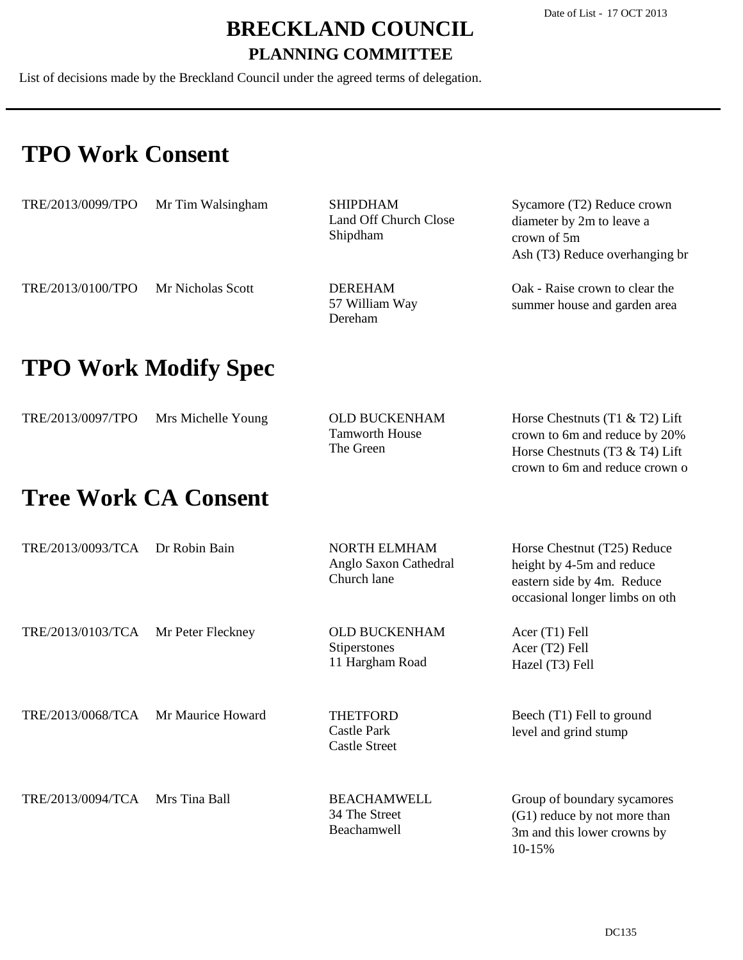List of decisions made by the Breckland Council under the agreed terms of delegation.

### **TPO Work Consent**

| TRE/2013/0099/TPO           | Mr Tim Walsingham           | <b>SHIPDHAM</b><br><b>Land Off Church Close</b><br>Shipdham | Sycamore (T2) Reduce crown<br>diameter by 2m to leave a<br>crown of 5m<br>Ash (T3) Reduce overhanging br                              |  |
|-----------------------------|-----------------------------|-------------------------------------------------------------|---------------------------------------------------------------------------------------------------------------------------------------|--|
| TRE/2013/0100/TPO           | Mr Nicholas Scott           | <b>DEREHAM</b><br>57 William Way<br>Dereham                 | Oak - Raise crown to clear the<br>summer house and garden area                                                                        |  |
|                             | <b>TPO Work Modify Spec</b> |                                                             |                                                                                                                                       |  |
| TRE/2013/0097/TPO           | Mrs Michelle Young          | <b>OLD BUCKENHAM</b><br><b>Tamworth House</b><br>The Green  | Horse Chestnuts (T1 $&$ T2) Lift<br>crown to 6m and reduce by 20%<br>Horse Chestnuts (T3 & T4) Lift<br>crown to 6m and reduce crown o |  |
| <b>Tree Work CA Consent</b> |                             |                                                             |                                                                                                                                       |  |
| TRE/2013/0093/TCA           | Dr Robin Bain               | <b>NORTH ELMHAM</b><br>Anglo Saxon Cathedral<br>Church lane | Horse Chestnut (T25) Reduce<br>height by 4-5m and reduce<br>eastern side by 4m. Reduce<br>occasional longer limbs on oth              |  |
| TRE/2013/0103/TCA           | Mr Peter Fleckney           | <b>OLD BUCKENHAM</b><br>Stiperstones<br>11 Hargham Road     | Acer (T1) Fell<br>Acer (T2) Fell<br>Hazel (T3) Fell                                                                                   |  |

TRE/2013/0068/TCA Mr Maurice Howard

TRE/2013/0094/TCA Mrs Tina Ball

Castle Park Castle Street THETFORD

34 The Street

BEACHAMWELL

Beachamwell

Beech (T1) Fell to ground level and grind stump

Group of boundary sycamores (G1) reduce by not more than 3m and this lower crowns by 10-15%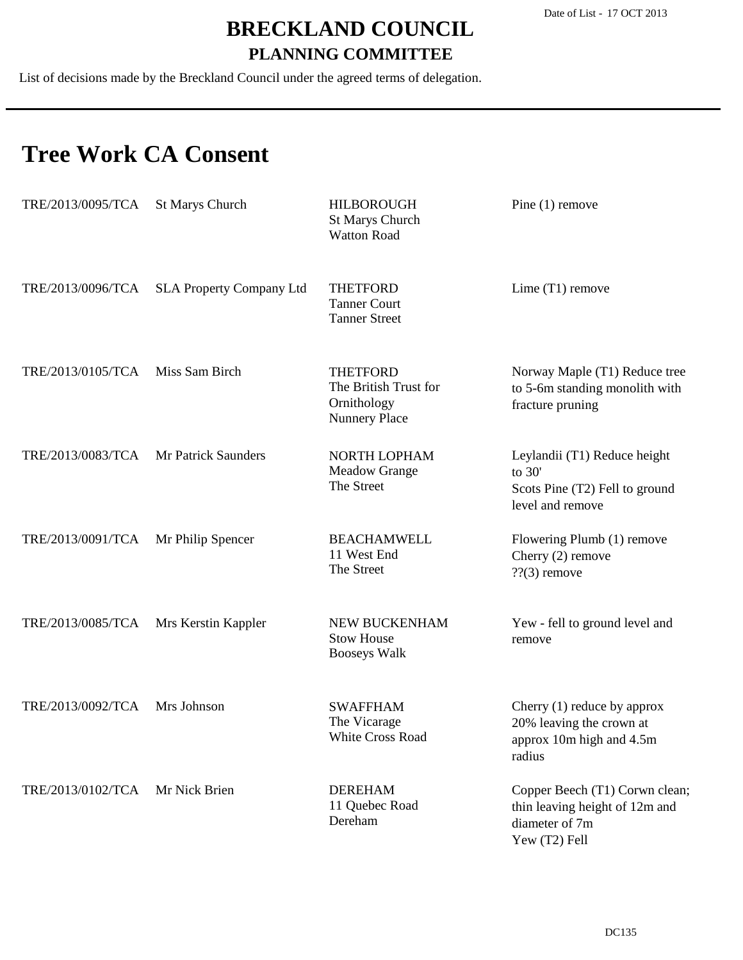List of decisions made by the Breckland Council under the agreed terms of delegation.

### **Tree Work CA Consent**

| TRE/2013/0095/TCA | <b>St Marys Church</b>          | <b>HILBOROUGH</b><br><b>St Marys Church</b><br><b>Watton Road</b>               | Pine $(1)$ remove                                                                                   |
|-------------------|---------------------------------|---------------------------------------------------------------------------------|-----------------------------------------------------------------------------------------------------|
| TRE/2013/0096/TCA | <b>SLA Property Company Ltd</b> | <b>THETFORD</b><br><b>Tanner Court</b><br><b>Tanner Street</b>                  | Lime $(T1)$ remove                                                                                  |
| TRE/2013/0105/TCA | Miss Sam Birch                  | <b>THETFORD</b><br>The British Trust for<br>Ornithology<br><b>Nunnery Place</b> | Norway Maple (T1) Reduce tree<br>to 5-6m standing monolith with<br>fracture pruning                 |
| TRE/2013/0083/TCA | Mr Patrick Saunders             | NORTH LOPHAM<br><b>Meadow Grange</b><br>The Street                              | Leylandii (T1) Reduce height<br>to 30'<br>Scots Pine (T2) Fell to ground<br>level and remove        |
| TRE/2013/0091/TCA | Mr Philip Spencer               | <b>BEACHAMWELL</b><br>11 West End<br>The Street                                 | Flowering Plumb (1) remove<br>Cherry $(2)$ remove<br>$?$ ?(3) remove                                |
| TRE/2013/0085/TCA | Mrs Kerstin Kappler             | NEW BUCKENHAM<br><b>Stow House</b><br><b>Booseys Walk</b>                       | Yew - fell to ground level and<br>remove                                                            |
| TRE/2013/0092/TCA | Mrs Johnson                     | <b>SWAFFHAM</b><br>The Vicarage<br><b>White Cross Road</b>                      | Cherry $(1)$ reduce by approx<br>20% leaving the crown at<br>approx 10m high and 4.5m<br>radius     |
| TRE/2013/0102/TCA | Mr Nick Brien                   | <b>DEREHAM</b><br>11 Quebec Road<br>Dereham                                     | Copper Beech (T1) Corwn clean;<br>thin leaving height of 12m and<br>diameter of 7m<br>Yew (T2) Fell |